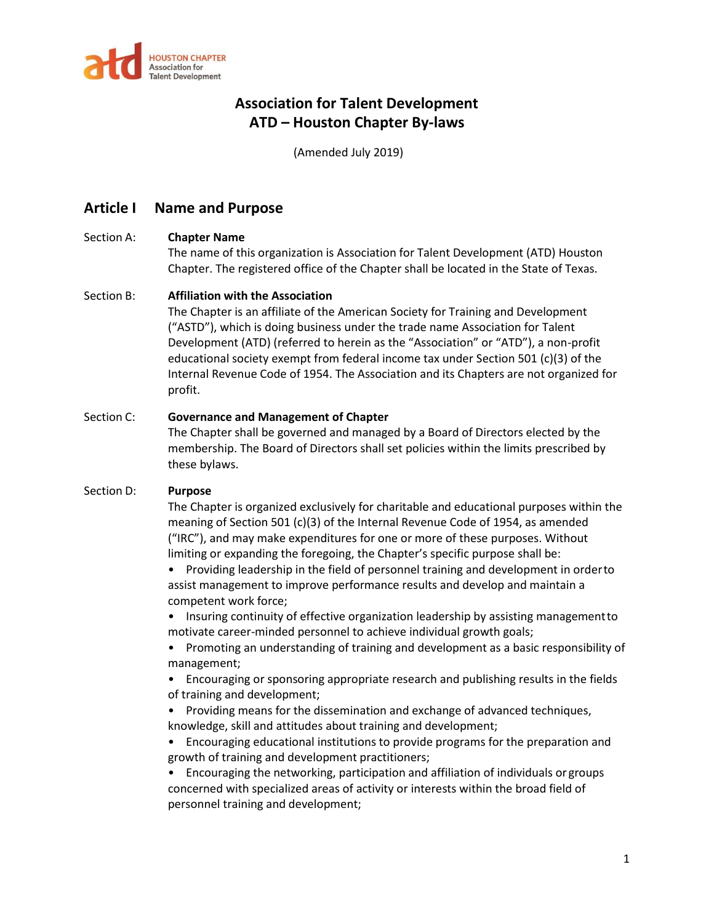

(Amended July 2019)

## **Article I Name and Purpose**

### Section A: **Chapter Name**

The name of this organization is Association for Talent Development (ATD) Houston Chapter. The registered office of the Chapter shall be located in the State of Texas.

### Section B: **Affiliation with the Association**

The Chapter is an affiliate of the American Society for Training and Development ("ASTD"), which is doing business under the trade name Association for Talent Development (ATD) (referred to herein as the "Association" or "ATD"), a non-profit educational society exempt from federal income tax under Section 501 (c)(3) of the Internal Revenue Code of 1954. The Association and its Chapters are not organized for profit.

### Section C: **Governance and Management of Chapter**

The Chapter shall be governed and managed by a Board of Directors elected by the membership. The Board of Directors shall set policies within the limits prescribed by these bylaws.

### Section D: **Purpose**

The Chapter is organized exclusively for charitable and educational purposes within the meaning of Section 501 (c)(3) of the Internal Revenue Code of 1954, as amended ("IRC"), and may make expenditures for one or more of these purposes. Without limiting or expanding the foregoing, the Chapter's specific purpose shall be:

• Providing leadership in the field of personnel training and development in orderto assist management to improve performance results and develop and maintain a competent work force;

• Insuring continuity of effective organization leadership by assisting managementto motivate career-minded personnel to achieve individual growth goals;

• Promoting an understanding of training and development as a basic responsibility of management;

• Encouraging or sponsoring appropriate research and publishing results in the fields of training and development;

- Providing means for the dissemination and exchange of advanced techniques, knowledge, skill and attitudes about training and development;
- Encouraging educational institutions to provide programs for the preparation and growth of training and development practitioners;

• Encouraging the networking, participation and affiliation of individuals or groups concerned with specialized areas of activity or interests within the broad field of personnel training and development;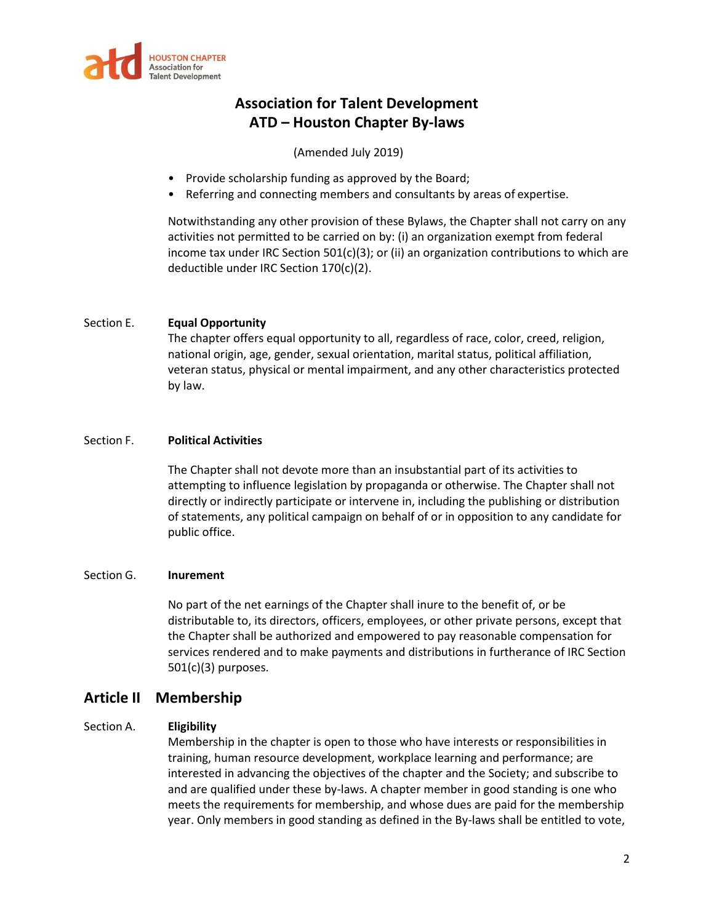

(Amended July 2019)

- Provide scholarship funding as approved by the Board;
- Referring and connecting members and consultants by areas of expertise.

Notwithstanding any other provision of these Bylaws, the Chapter shall not carry on any activities not permitted to be carried on by: (i) an organization exempt from federal income tax under IRC Section  $501(c)(3)$ ; or (ii) an organization contributions to which are deductible under IRC Section 170(c)(2).

#### Section E. **Equal Opportunity**

The chapter offers equal opportunity to all, regardless of race, color, creed, religion, national origin, age, gender, sexual orientation, marital status, political affiliation, veteran status, physical or mental impairment, and any other characteristics protected by law.

#### Section F. **Political Activities**

The Chapter shall not devote more than an insubstantial part of its activities to attempting to influence legislation by propaganda or otherwise. The Chapter shall not directly or indirectly participate or intervene in, including the publishing or distribution of statements, any political campaign on behalf of or in opposition to any candidate for public office.

#### Section G. **Inurement**

No part of the net earnings of the Chapter shall inure to the benefit of, or be distributable to, its directors, officers, employees, or other private persons, except that the Chapter shall be authorized and empowered to pay reasonable compensation for services rendered and to make payments and distributions in furtherance of IRC Section 501(c)(3) purposes.

### **Article II Membership**

### Section A. **Eligibility**

Membership in the chapter is open to those who have interests or responsibilities in training, human resource development, workplace learning and performance; are interested in advancing the objectives of the chapter and the Society; and subscribe to and are qualified under these by-laws. A chapter member in good standing is one who meets the requirements for membership, and whose dues are paid for the membership year. Only members in good standing as defined in the By-laws shall be entitled to vote,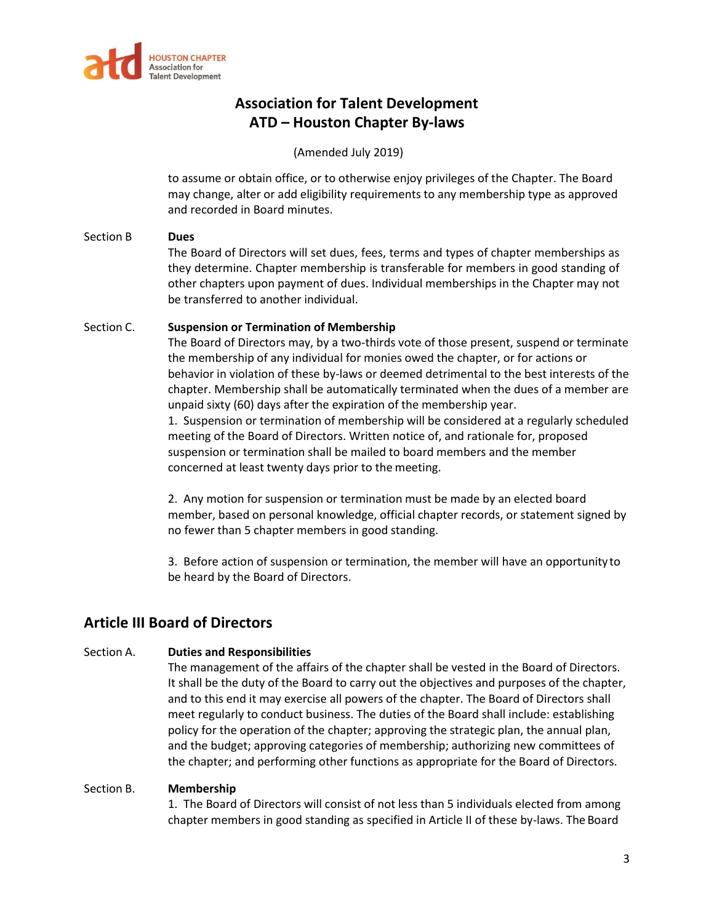

(Amended July 2019)

to assume or obtain office, or to otherwise enjoy privileges of the Chapter. The Board may change, alter or add eligibility requirements to any membership type as approved and recorded in Board minutes.

### Section B **Dues**

The Board of Directors will set dues, fees, terms and types of chapter memberships as they determine. Chapter membership is transferable for members in good standing of other chapters upon payment of dues. Individual memberships in the Chapter may not be transferred to another individual.

### Section C. **Suspension or Termination of Membership**

The Board of Directors may, by a two-thirds vote of those present, suspend or terminate the membership of any individual for monies owed the chapter, or for actions or behavior in violation of these by-laws or deemed detrimental to the best interests of the chapter. Membership shall be automatically terminated when the dues of a member are unpaid sixty (60) days after the expiration of the membership year.

1. Suspension or termination of membership will be considered at a regularly scheduled meeting of the Board of Directors. Written notice of, and rationale for, proposed suspension or termination shall be mailed to board members and the member concerned at least twenty days prior to the meeting.

2. Any motion for suspension or termination must be made by an elected board member, based on personal knowledge, official chapter records, or statement signed by no fewer than 5 chapter members in good standing.

3. Before action of suspension or termination, the member will have an opportunity to be heard by the Board of Directors.

# **Article III Board of Directors**

### Section A. **Duties and Responsibilities**

The management of the affairs of the chapter shall be vested in the Board of Directors. It shall be the duty of the Board to carry out the objectives and purposes of the chapter, and to this end it may exercise all powers of the chapter. The Board of Directors shall meet regularly to conduct business. The duties of the Board shall include: establishing policy for the operation of the chapter; approving the strategic plan, the annual plan, and the budget; approving categories of membership; authorizing new committees of the chapter; and performing other functions as appropriate for the Board of Directors.

### Section B. **Membership**

1. The Board of Directors will consist of not less than 5 individuals elected from among chapter members in good standing as specified in Article II of these by-laws. The Board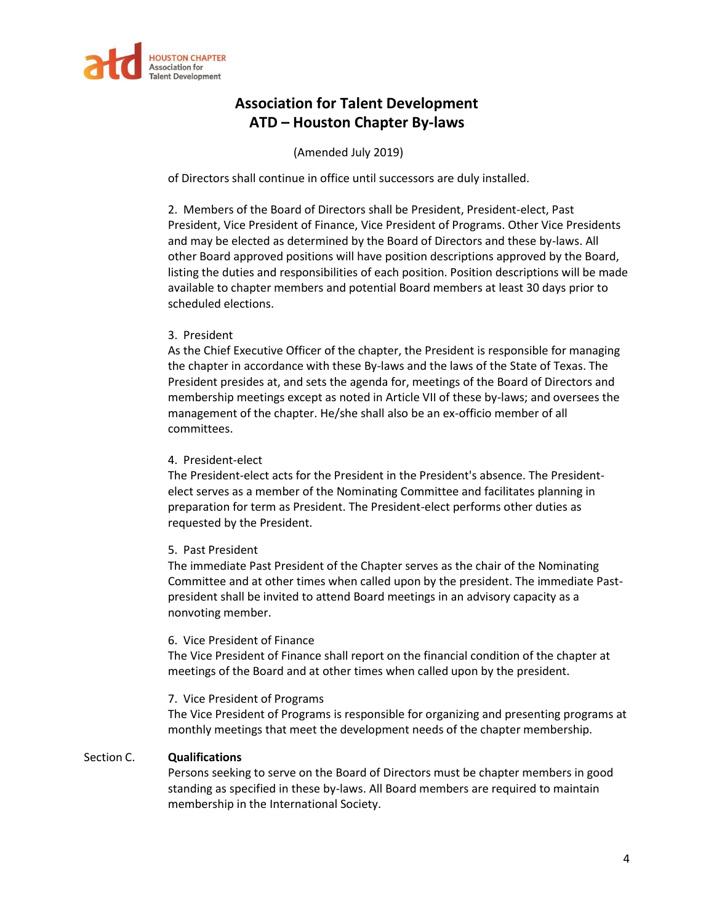

### (Amended July 2019)

of Directors shall continue in office until successors are duly installed.

2. Members of the Board of Directors shall be President, President-elect, Past President, Vice President of Finance, Vice President of Programs. Other Vice Presidents and may be elected as determined by the Board of Directors and these by-laws. All other Board approved positions will have position descriptions approved by the Board, listing the duties and responsibilities of each position. Position descriptions will be made available to chapter members and potential Board members at least 30 days prior to scheduled elections.

#### 3. President

As the Chief Executive Officer of the chapter, the President is responsible for managing the chapter in accordance with these By-laws and the laws of the State of Texas. The President presides at, and sets the agenda for, meetings of the Board of Directors and membership meetings except as noted in Article VII of these by-laws; and oversees the management of the chapter. He/she shall also be an ex-officio member of all committees.

#### 4. President-elect

The President-elect acts for the President in the President's absence. The Presidentelect serves as a member of the Nominating Committee and facilitates planning in preparation for term as President. The President-elect performs other duties as requested by the President.

#### 5. Past President

The immediate Past President of the Chapter serves as the chair of the Nominating Committee and at other times when called upon by the president. The immediate Pastpresident shall be invited to attend Board meetings in an advisory capacity as a nonvoting member.

#### 6. Vice President of Finance

The Vice President of Finance shall report on the financial condition of the chapter at meetings of the Board and at other times when called upon by the president.

#### 7. Vice President of Programs

The Vice President of Programs is responsible for organizing and presenting programs at monthly meetings that meet the development needs of the chapter membership.

### Section C. **Qualifications**

Persons seeking to serve on the Board of Directors must be chapter members in good standing as specified in these by-laws. All Board members are required to maintain membership in the International Society.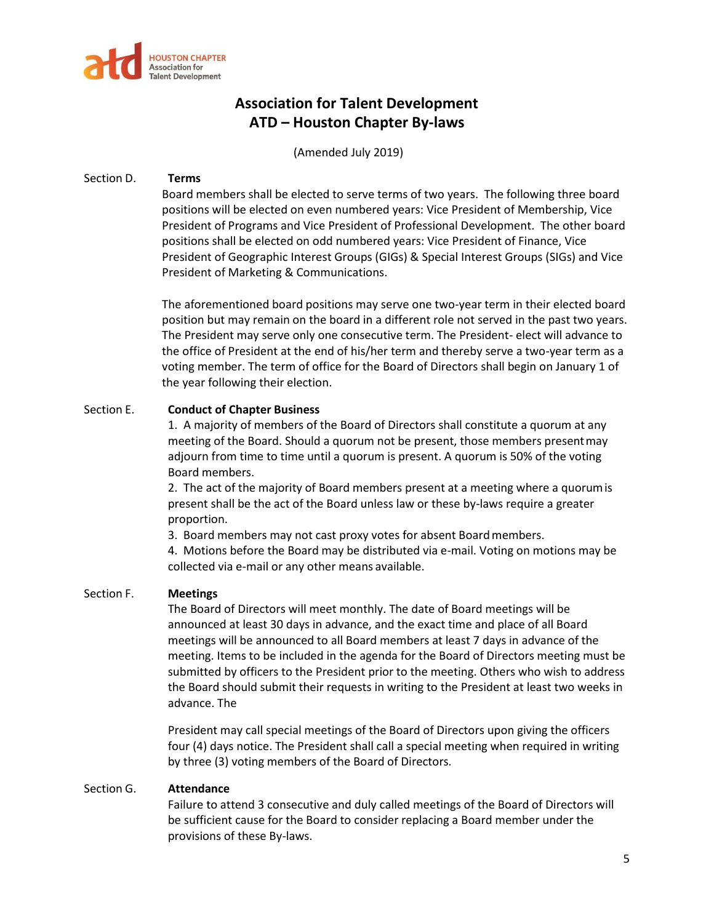

(Amended July 2019)

### Section D. **Terms**

Board members shall be elected to serve terms of two years. The following three board positions will be elected on even numbered years: Vice President of Membership, Vice President of Programs and Vice President of Professional Development. The other board positions shall be elected on odd numbered years: Vice President of Finance, Vice President of Geographic Interest Groups (GIGs) & Special Interest Groups (SIGs) and Vice President of Marketing & Communications.

The aforementioned board positions may serve one two-year term in their elected board position but may remain on the board in a different role not served in the past two years. The President may serve only one consecutive term. The President- elect will advance to the office of President at the end of his/her term and thereby serve a two-year term as a voting member. The term of office for the Board of Directors shall begin on January 1 of the year following their election.

#### Section E. **Conduct of Chapter Business**

1. A majority of members of the Board of Directors shall constitute a quorum at any meeting of the Board. Should a quorum not be present, those members presentmay adjourn from time to time until a quorum is present. A quorum is 50% of the voting Board members.

2. The act of the majority of Board members present at a meeting where a quorumis present shall be the act of the Board unless law or these by-laws require a greater proportion.

3. Board members may not cast proxy votes for absent Boardmembers.

4. Motions before the Board may be distributed via e-mail. Voting on motions may be collected via e-mail or any other means available.

#### Section F. **Meetings**

The Board of Directors will meet monthly. The date of Board meetings will be announced at least 30 days in advance, and the exact time and place of all Board meetings will be announced to all Board members at least 7 days in advance of the meeting. Items to be included in the agenda for the Board of Directors meeting must be submitted by officers to the President prior to the meeting. Others who wish to address the Board should submit their requests in writing to the President at least two weeks in advance. The

President may call special meetings of the Board of Directors upon giving the officers four (4) days notice. The President shall call a special meeting when required in writing by three (3) voting members of the Board of Directors.

#### Section G. **Attendance**

Failure to attend 3 consecutive and duly called meetings of the Board of Directors will be sufficient cause for the Board to consider replacing a Board member under the provisions of these By-laws.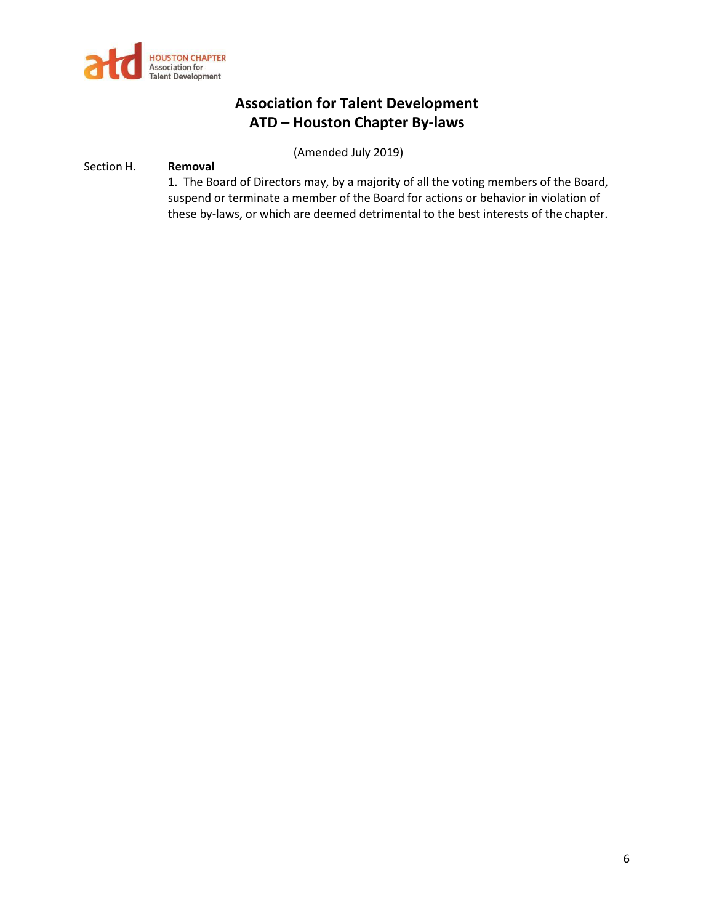

(Amended July 2019)

### Section H. **Removal**

1. The Board of Directors may, by a majority of all the voting members of the Board, suspend or terminate a member of the Board for actions or behavior in violation of these by-laws, or which are deemed detrimental to the best interests of the chapter.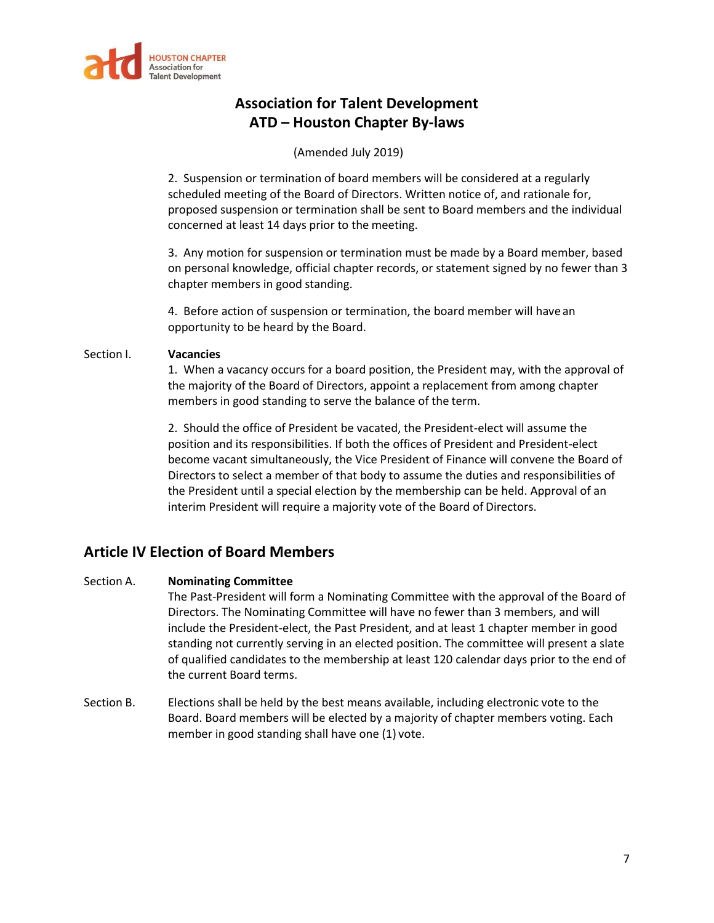

### (Amended July 2019)

2. Suspension or termination of board members will be considered at a regularly scheduled meeting of the Board of Directors. Written notice of, and rationale for, proposed suspension or termination shall be sent to Board members and the individual concerned at least 14 days prior to the meeting.

3. Any motion for suspension or termination must be made by a Board member, based on personal knowledge, official chapter records, or statement signed by no fewer than 3 chapter members in good standing.

4. Before action of suspension or termination, the board member will have an opportunity to be heard by the Board.

#### Section I. **Vacancies**

1. When a vacancy occurs for a board position, the President may, with the approval of the majority of the Board of Directors, appoint a replacement from among chapter members in good standing to serve the balance of the term.

2. Should the office of President be vacated, the President-elect will assume the position and its responsibilities. If both the offices of President and President-elect become vacant simultaneously, the Vice President of Finance will convene the Board of Directors to select a member of that body to assume the duties and responsibilities of the President until a special election by the membership can be held. Approval of an interim President will require a majority vote of the Board of Directors.

## **Article IV Election of Board Members**

### Section A. **Nominating Committee**

The Past-President will form a Nominating Committee with the approval of the Board of Directors. The Nominating Committee will have no fewer than 3 members, and will include the President-elect, the Past President, and at least 1 chapter member in good standing not currently serving in an elected position. The committee will present a slate of qualified candidates to the membership at least 120 calendar days prior to the end of the current Board terms.

Section B. Elections shall be held by the best means available, including electronic vote to the Board. Board members will be elected by a majority of chapter members voting. Each member in good standing shall have one (1) vote.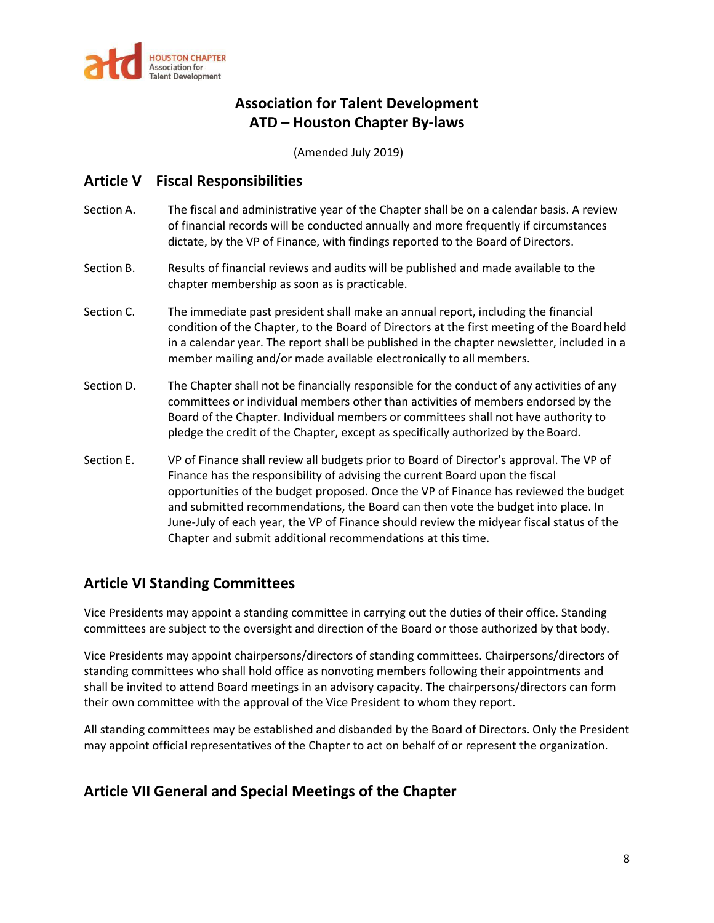

(Amended July 2019)

## **Article V Fiscal Responsibilities**

- Section A. The fiscal and administrative year of the Chapter shall be on a calendar basis. A review of financial records will be conducted annually and more frequently if circumstances dictate, by the VP of Finance, with findings reported to the Board of Directors.
- Section B. Results of financial reviews and audits will be published and made available to the chapter membership as soon as is practicable.
- Section C. The immediate past president shall make an annual report, including the financial condition of the Chapter, to the Board of Directors at the first meeting of the Boardheld in a calendar year. The report shall be published in the chapter newsletter, included in a member mailing and/or made available electronically to all members.
- Section D. The Chapter shall not be financially responsible for the conduct of any activities of any committees or individual members other than activities of members endorsed by the Board of the Chapter. Individual members or committees shall not have authority to pledge the credit of the Chapter, except as specifically authorized by the Board.
- Section E. VP of Finance shall review all budgets prior to Board of Director's approval. The VP of Finance has the responsibility of advising the current Board upon the fiscal opportunities of the budget proposed. Once the VP of Finance has reviewed the budget and submitted recommendations, the Board can then vote the budget into place. In June-July of each year, the VP of Finance should review the midyear fiscal status of the Chapter and submit additional recommendations at this time.

## **Article VI Standing Committees**

Vice Presidents may appoint a standing committee in carrying out the duties of their office. Standing committees are subject to the oversight and direction of the Board or those authorized by that body.

Vice Presidents may appoint chairpersons/directors of standing committees. Chairpersons/directors of standing committees who shall hold office as nonvoting members following their appointments and shall be invited to attend Board meetings in an advisory capacity. The chairpersons/directors can form their own committee with the approval of the Vice President to whom they report.

All standing committees may be established and disbanded by the Board of Directors. Only the President may appoint official representatives of the Chapter to act on behalf of or represent the organization.

## **Article VII General and Special Meetings of the Chapter**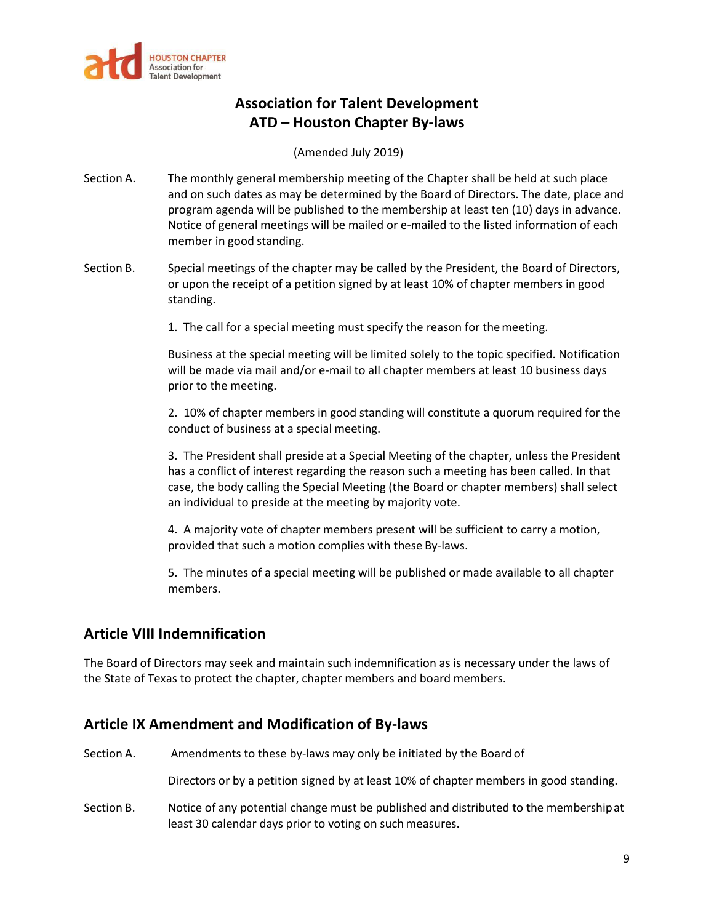

(Amended July 2019)

- Section A. The monthly general membership meeting of the Chapter shall be held at such place and on such dates as may be determined by the Board of Directors. The date, place and program agenda will be published to the membership at least ten (10) days in advance. Notice of general meetings will be mailed or e-mailed to the listed information of each member in good standing.
- Section B. Special meetings of the chapter may be called by the President, the Board of Directors, or upon the receipt of a petition signed by at least 10% of chapter members in good standing.
	- 1. The call for a special meeting must specify the reason for themeeting.

Business at the special meeting will be limited solely to the topic specified. Notification will be made via mail and/or e-mail to all chapter members at least 10 business days prior to the meeting.

2. 10% of chapter members in good standing will constitute a quorum required for the conduct of business at a special meeting.

3. The President shall preside at a Special Meeting of the chapter, unless the President has a conflict of interest regarding the reason such a meeting has been called. In that case, the body calling the Special Meeting (the Board or chapter members) shall select an individual to preside at the meeting by majority vote.

4. A majority vote of chapter members present will be sufficient to carry a motion, provided that such a motion complies with these By-laws.

5. The minutes of a special meeting will be published or made available to all chapter members.

## **Article VIII Indemnification**

The Board of Directors may seek and maintain such indemnification as is necessary under the laws of the State of Texas to protect the chapter, chapter members and board members.

## **Article IX Amendment and Modification of By-laws**

Section A. Amendments to these by-laws may only be initiated by the Board of

Directors or by a petition signed by at least 10% of chapter members in good standing.

Section B. Notice of any potential change must be published and distributed to the membershipat least 30 calendar days prior to voting on such measures.